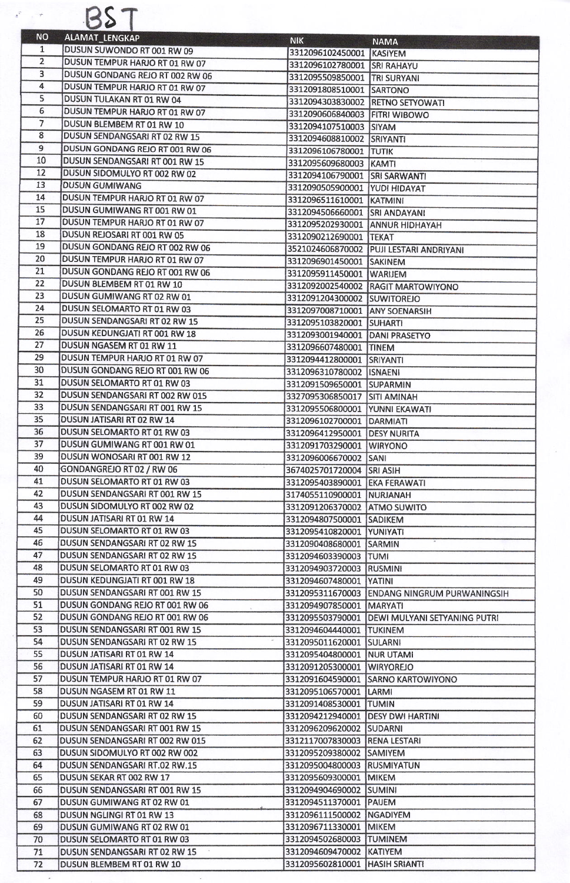| <b>NO</b>      | ALAMAT_LENGKAP                                                    | <b>NIK</b>                                                 | <b>NAMA</b>                                     |
|----------------|-------------------------------------------------------------------|------------------------------------------------------------|-------------------------------------------------|
| $\mathbf{1}$   | DUSUN SUWONDO RT 001 RW 09                                        | 3312096102450001 KASIYEM                                   |                                                 |
| $\overline{2}$ | DUSUN TEMPUR HARJO RT 01 RW 07                                    | 3312096102780001 SRI RAHAYU                                |                                                 |
| 3              | DUSUN GONDANG REJO RT 002 RW 06                                   | 3312095509850001 TRI SURYANI                               |                                                 |
| 4              | DUSUN TEMPUR HARJO RT 01 RW 07                                    | 3312091808510001 SARTONO                                   |                                                 |
| 5              | DUSUN TULAKAN RT 01 RW 04                                         | 3312094303830002 RETNO SETYOWATI                           |                                                 |
| 6              | DUSUN TEMPUR HARJO RT 01 RW 07                                    | 3312090606840003 FITRI WIBOWO                              |                                                 |
| 7<br>8         | DUSUN BLEMBEM RT 01 RW 10                                         | 3312094107510003 SIYAM                                     |                                                 |
| $\overline{9}$ | DUSUN SENDANGSARI RT 02 RW 15                                     | 3312094608810002 SRIYANTI                                  |                                                 |
| 10             | DUSUN GONDANG REJO RT 001 RW 06<br>DUSUN SENDANGSARI RT 001 RW 15 | 3312096106780001 TUTIK                                     |                                                 |
| 12             | DUSUN SIDOMULYO RT 002 RW 02                                      | 3312095609680003 KAMTI                                     |                                                 |
| 13             | <b>DUSUN GUMIWANG</b>                                             | 3312094106790001 SRI SARWANTI                              |                                                 |
| 14             | DUSUN TEMPUR HARJO RT 01 RW 07                                    | 3312090505900001 YUDI HIDAYAT<br>3312096511610001 KATMINI  |                                                 |
| 15             | DUSUN GUMIWANG RT 001 RW 01                                       | 3312094506660001 SRI ANDAYANI                              |                                                 |
| 17             | DUSUN TEMPUR HARJO RT 01 RW 07                                    | 3312095202930001 ANNUR HIDHAYAH                            |                                                 |
| 18             | DUSUN REJOSARI RT 001 RW 05                                       | 3312090212690001 TEKAT                                     |                                                 |
| 19             | DUSUN GONDANG REIO RT 002 RW 06                                   |                                                            | 3521024606870002 PUJI LESTARI ANDRIYANI         |
| 20             | DUSUN TEMPUR HARJO RT 01 RW 07                                    | 3312096901450001 SAKINEM                                   |                                                 |
| 21             | DUSUN GONDANG REIO RT 001 RW 06                                   | 3312095911450001 WARIJEM                                   |                                                 |
| 22             | DUSUN BLEMBEM RT 01 RW 10                                         |                                                            | 3312092002540002 RAGIT MARTOWIYONO              |
| 23             | DUSUN GUMIWANG RT 02 RW 01                                        | 3312091204300002 SUWITOREJO                                |                                                 |
| 24             | DUSUN SELOMARTO RT 01 RW 03                                       | 3312097008710001 ANY SOENARSIH                             |                                                 |
| 25             | DUSUN SENDANGSARI RT 02 RW 15                                     | 3312095103820001 SUHARTI                                   |                                                 |
| 26             | DUSUN KEDUNGJATI RT 001 RW 18                                     | 3312093001940001 DANI PRASETYO                             |                                                 |
| 27             | DUSUN NGASEM RT 01 RW 11                                          | 3312096607480001 TINEM                                     |                                                 |
| 29             | DUSUN TEMPUR HARJO RT 01 RW 07                                    | 3312094412800001 SRIYANTI                                  |                                                 |
| 30             | DUSUN GONDANG REJO RT 001 RW 06                                   | 3312096310780002 ISNAENI                                   |                                                 |
| 31             | DUSUN SELOMARTO RT 01 RW 03                                       | 3312091509650001 SUPARMIN                                  |                                                 |
| 32             | DUSUN SENDANGSARI RT 002 RW 015                                   | 3327095306850017 SITI AMINAH                               |                                                 |
| 33             | DUSUN SENDANGSARI RT 001 RW 15                                    | 3312095506800001 YUNNI EKAWATI                             |                                                 |
| 35             | DUSUN JATISARI RT 02 RW 14                                        | 3312096102700001 DARMIATI                                  |                                                 |
| 36             | DUSUN SELOMARTO RT 01 RW 03                                       | 3312096412950001 DESY NURITA                               |                                                 |
| 37             | DUSUN GUMIWANG RT 001 RW 01                                       | 3312091703290001 WIRYONO                                   |                                                 |
| 39             | DUSUN WONOSARI RT 001 RW 12                                       | 3312096006670002 SANI                                      |                                                 |
| 40<br>41       | GONDANGREJO RT 02 / RW 06<br>DUSUN SELOMARTO RT 01 RW 03          | 3674025701720004 SRI ASIH                                  |                                                 |
| 42             | DUSUN SENDANGSARI RT 001 RW 15                                    | 3312095403890001 EKA FERAWATI                              |                                                 |
| 43             | DUSUN SIDOMULYO RT 002 RW 02                                      | 3174055110900001 NURJANAH<br>3312091206370002 ATMO SUWITO  |                                                 |
| 44             | DUSUN JATISARI RT 01 RW 14                                        | 3312094807500001 SADIKEM                                   |                                                 |
| 45             | DUSUN SELOMARTO RT 01 RW 03                                       | 3312095410820001 YUNIYATI                                  |                                                 |
| 46             | DUSUN SENDANGSARI RT 02 RW 15                                     | 3312090408680001 SARMIN                                    |                                                 |
| 47             | DUSUN SENDANGSARI RT 02 RW 15                                     | 3312094603390003 TUMI                                      |                                                 |
| 48             | DUSUN SELOMARTO RT 01 RW 03                                       | 3312094903720003 RUSMINI                                   |                                                 |
| 49             | DUSUN KEDUNGJATI RT 001 RW 18                                     | 3312094607480001 YATINI                                    |                                                 |
| 50             | DUSUN SENDANGSARI RT 001 RW 15                                    |                                                            | 3312095311670003 ENDANG NINGRUM PURWANINGSIH    |
| 51             | DUSUN GONDANG REJO RT 001 RW 06                                   | 3312094907850001   MARYATI                                 |                                                 |
| 52             | DUSUN GONDANG REIO RT 001 RW 06                                   |                                                            | 3312095503790001   DEWI MULYANI SETYANING PUTRI |
| 53             | DUSUN SENDANGSARI RT 001 RW 15                                    | 3312094604440001 TUKINEM                                   |                                                 |
| 54             | DUSUN SENDANGSARI RT 02 RW 15                                     | 3312095011620001 SULARNI                                   |                                                 |
| 55             | DUSUN JATISARI RT 01 RW 14                                        | 3312095404800001 NUR UTAMI                                 |                                                 |
| 56             | DUSUN JATISARI RT 01 RW 14                                        | 3312091205300001 WIRYOREJO                                 |                                                 |
| 57             | DUSUN TEMPUR HARJO RT 01 RW 07                                    |                                                            | 3312091604590001 SARNO KARTOWIYONO              |
| 58             | DUSUN NGASEM RT 01 RW 11                                          | 3312095106570001 LARMI                                     |                                                 |
| 59             | DUSUN JATISARI RT 01 RW 14                                        | 3312091408530001 TUMIN                                     |                                                 |
| 60             | DUSUN SENDANGSARI RT 02 RW 15                                     | 3312094212940001   DESY DWI HARTINI                        |                                                 |
| 61             | DUSUN SENDANGSARI RT 001 RW 15                                    | 3312096209620002 SUDARNI                                   |                                                 |
| 62             | DUSUN SENDANGSARI RT 002 RW 015                                   | 3312117007830003 RENA LESTARI                              |                                                 |
| 63             | DUSUN SIDOMULYO RT 002 RW 002                                     | 3312095209380002 SAMIYEM                                   |                                                 |
| 64             | DUSUN SENDANGSARI RT.02 RW.15                                     | 3312095004800003 RUSMIYATUN                                |                                                 |
| 65             | DUSUN SEKAR RT 002 RW 17                                          | 3312095609300001 MIKEM                                     |                                                 |
| 66             | DUSUN SENDANGSARI RT 001 RW 15                                    | 3312094904690002 SUMINI                                    |                                                 |
| 67             | DUSUN GUMIWANG RT 02 RW 01                                        | 3312094511370001 PAUEM                                     |                                                 |
| 68             | DUSUN NGLINGI RT 01 RW 13                                         | 3312096111500002 NGADIYEM                                  |                                                 |
| 69             | DUSUN GUMIWANG RT 02 RW 01                                        | 3312096711330001 MIKEM                                     |                                                 |
| 70             | DUSUN SELOMARTO RT 01 RW 03                                       | 3312094502680003 TUMINEM                                   |                                                 |
| 71<br>72       | DUSUN SENDANGSARI RT 02 RW 15<br>DUSUN BLEMBEM RT 01 RW 10        | 3312094609470002 KATIYEM<br>3312095602810001 HASIH SRIANTI |                                                 |
|                |                                                                   |                                                            |                                                 |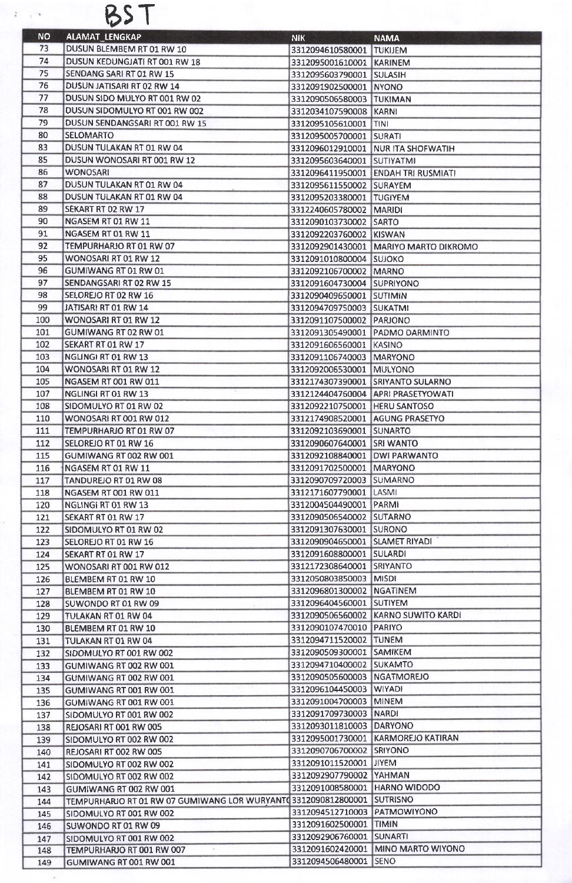

| <b>NO</b>  | <b>ALAMAT_LENGKAP</b>                                                  | NIK.                                               | <b>NAMA</b>                           |
|------------|------------------------------------------------------------------------|----------------------------------------------------|---------------------------------------|
| 73         | DUSUN BLEMBEM RT 01 RW 10                                              | 3312094610580001 TUKIJEM                           |                                       |
| 74         | DUSUN KEDUNGJATI RT 001 RW 18                                          | 3312095001610001 KARINEM                           |                                       |
| 75         | SENDANG SARI RT 01 RW 15                                               | 3312095603790001 SULASIH                           |                                       |
| 76         | DUSUN JATISARI RT 02 RW 14                                             | 3312091902500001 NYONO                             |                                       |
| 77         | DUSUN SIDO MULYO RT 001 RW 02                                          | 3312090506580003 TUKIMAN                           |                                       |
| 78         | DUSUN SIDOMULYO RT 001 RW 002                                          | 3312034107590008 KARNI                             |                                       |
| 79         | DUSUN SENDANGSARI RT 001 RW 15                                         | 3312095105610001 TINI                              |                                       |
| 80         | <b>SELOMARTO</b>                                                       | 3312095005700001 SURATI                            |                                       |
| 83         | DUSUN TULAKAN RT 01 RW 04                                              |                                                    | 3312096012910001 NUR ITA SHOFWATIH    |
| 85         | DUSUN WONOSARI RT 001 RW 12                                            | 3312095603640001 SUTIYATMI                         |                                       |
| 86         | <b>WONOSARI</b>                                                        |                                                    | 3312096411950001 ENDAH TRI RUSMIATI   |
| 87         | DUSUN TULAKAN RT 01 RW 04                                              | 3312095611550002 SURAYEM                           |                                       |
| 88         | DUSUN TULAKAN RT 01 RW 04                                              | 3312095203380001 TUGIYEM                           |                                       |
| 89         | SEKART RT 02 RW 17                                                     | 3312240605780002 MARIDI                            |                                       |
| 90         | NGASEM RT 01 RW 11                                                     | 3312090103730002 SARTO                             |                                       |
| 91         | NGASEM RT 01 RW 11                                                     | 3312092203760002 KISWAN                            |                                       |
| 92         | TEMPURHARJO RT 01 RW 07                                                |                                                    | 3312092901430001 MARIYO MARTO DIKROMO |
| 95         | WONOSARI RT 01 RW 12                                                   | 3312091010800004 SUJOKO                            |                                       |
| 96         | GUMIWANG RT 01 RW 01                                                   | 3312092106700002 MARNO                             |                                       |
| 97         | SENDANGSARI RT 02 RW 15                                                | 3312091604730004 SUPRIYONO                         |                                       |
| 98         | SELOREJO RT 02 RW 16                                                   | 3312090409650001 SUTIMIN                           |                                       |
| 99         | JATISARI RT 01 RW 14                                                   | 3312094709750003 SUKATMI                           |                                       |
| 100        | WONOSARI RT 01 RW 12                                                   | 3312091107500002 PARJONO                           |                                       |
| 101        | GUMIWANG RT 02 RW 01                                                   | 3312091305490001 PADMO DARMINTO                    |                                       |
| 102        | SEKART RT 01 RW 17                                                     | 3312091606560001 KASINO                            |                                       |
| 103        | NGLINGI RT 01 RW 13                                                    | 3312091106740003 MARYONO                           |                                       |
| 104        | WONOSARI RT 01 RW 12                                                   | 3312092006530001 MULYONO                           |                                       |
| 105        | NGASEM RT 001 RW 011                                                   | 3312174307390001 SRIYANTO SULARNO                  |                                       |
| 107        | NGLINGI RT 01 RW 13                                                    |                                                    | 3312124404760004 APRI PRASETYOWATI    |
| 108        | SIDOMULYO RT 01 RW 02                                                  | 3312092210750001 HERU SANTOSO                      |                                       |
| 110        | WONOSARI RT 001 RW 012                                                 | 3312174908520001 AGUNG PRASETYO                    |                                       |
| 111        | TEMPURHARIO RT 01 RW 07                                                | 3312092103690001 SUNARTO                           |                                       |
| 112        | SELOREJO RT 01 RW 16                                                   | 3312090607640001 SRI WANTO                         |                                       |
| 115        | GUMIWANG RT 002 RW 001                                                 | 3312092108840001 DWI PARWANTO                      |                                       |
| 116        | NGASEM RT 01 RW 11                                                     | 3312091702500001 MARYONO                           |                                       |
| 117        | TANDUREJO RT 01 RW 08                                                  | 3312090709720003 SUMARNO                           |                                       |
| 118        | NGASEM RT 001 RW 011                                                   | 3312171607790001 LASMI                             |                                       |
| 120        | NGLINGI RT 01 RW 13                                                    | 3312004504490001                                   | PARMI                                 |
| 121        | SEKART RT 01 RW 17                                                     | 3312090506540002 SUTARNO                           |                                       |
| 122        | SIDOMULYO RT 01 RW 02                                                  | 3312091307630001 SURONO                            |                                       |
| 123        | SELOREJO RT 01 RW 16                                                   | 3312090904650001 SLAMET RIYADI                     |                                       |
| 124        | SEKART RT 01 RW 17                                                     | 3312091608800001 SULARDI                           |                                       |
| 125        | WONOSARI RT 001 RW 012                                                 | 3312172308640001 SRIYANTO                          |                                       |
| 126        | BLEMBEM RT 01 RW 10                                                    | 3312050803850003 MISDI                             |                                       |
| 127        | BLEMBEM RT 01 RW 10                                                    | 3312096801300002 NGATINEM                          |                                       |
| 128        | SUWONDO RT 01 RW 09                                                    | 3312096404560001 SUTIYEM                           |                                       |
| 129        | TULAKAN RT 01 RW 04                                                    |                                                    | 3312090506560002 KARNO SUWITO KARDI   |
| 130        | BLEMBEM RT 01 RW 10                                                    | 3312090107470010 PARIYO                            |                                       |
| 131        | TULAKAN RT 01 RW 04                                                    | 3312094711520002 TUNEM<br>3312090509300001 SAMIKEM |                                       |
| 132        | SIDOMULYO RT 001 RW 002                                                | 3312094710400002 SUKAMTO                           |                                       |
| 133        | GUMIWANG RT 002 RW 001                                                 | 3312090505600003 NGATMOREJO                        |                                       |
| 134        | GUMIWANG RT 002 RW 001                                                 | 3312096104450003 WIYADI                            |                                       |
| 135        | GUMIWANG RT 001 RW 001                                                 | 3312091004700003 MINEM                             |                                       |
| 136        | GUMIWANG RT 001 RW 001<br>SIDOMULYO RT 001 RW 002                      | 3312091709730003                                   | <b>NARDI</b>                          |
| 137        |                                                                        | 3312093011810003 DARYONO                           |                                       |
| 138        | REJOSARI RT 001 RW 005<br>SIDOMULYO RT 002 RW 002                      |                                                    | 3312095001730001 KARMOREJO KATIRAN    |
| 139        | REJOSARI RT 002 RW 005                                                 | 3312090706700002 SRIYONO                           |                                       |
| 140        |                                                                        | 3312091011520001 JIYEM                             |                                       |
| 141        | SIDOMULYO RT 002 RW 002<br>SIDOMULYO RT 002 RW 002                     | 3312092907790002 YAHMAN                            |                                       |
| 142        | GUMIWANG RT 002 RW 001                                                 | 3312091008580001 HARNO WIDODO                      |                                       |
| 143        | TEMPURHARJO RT 01 RW 07 GUMIWANG LOR WURYANT(3312090812800001 SUTRISNO |                                                    |                                       |
| 144        |                                                                        | 3312094512710003 PATMOWIYONO                       |                                       |
| 145<br>146 | SIDOMULYO RT 001 RW 002<br>SUWONDO RT 01 RW 09                         | 3312091602500001 TIMIN                             |                                       |
| 147        | SIDOMULYO RT 001 RW 002                                                | 3312092906760001 SUNARTI                           |                                       |
| 148        | TEMPURHARJO RT 001 RW 007                                              |                                                    | 3312091602420001 MINO MARTO WIYONO    |
| 149        | GUMIWANG RT 001 RW 001                                                 | 3312094506480001                                   | <b>SENO</b>                           |